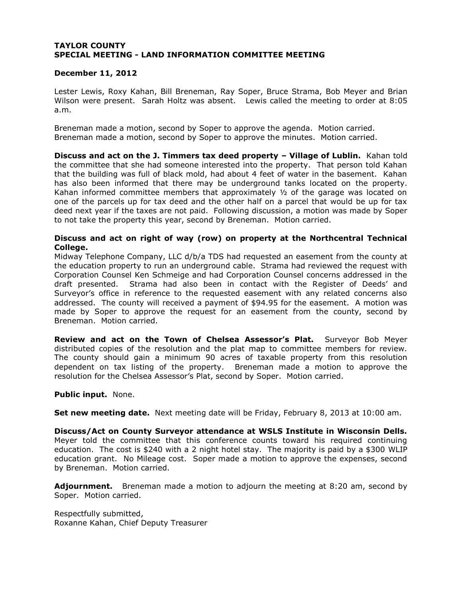## **TAYLOR COUNTY SPECIAL MEETING - LAND INFORMATION COMMITTEE MEETING**

## **December 11, 2012**

Lester Lewis, Roxy Kahan, Bill Breneman, Ray Soper, Bruce Strama, Bob Meyer and Brian Wilson were present. Sarah Holtz was absent. Lewis called the meeting to order at 8:05 a.m.

Breneman made a motion, second by Soper to approve the agenda. Motion carried. Breneman made a motion, second by Soper to approve the minutes. Motion carried.

**Discuss and act on the J. Timmers tax deed property – Village of Lublin.** Kahan told the committee that she had someone interested into the property. That person told Kahan that the building was full of black mold, had about 4 feet of water in the basement. Kahan has also been informed that there may be underground tanks located on the property. Kahan informed committee members that approximately  $\frac{1}{2}$  of the garage was located on one of the parcels up for tax deed and the other half on a parcel that would be up for tax deed next year if the taxes are not paid. Following discussion, a motion was made by Soper to not take the property this year, second by Breneman. Motion carried.

### **Discuss and act on right of way (row) on property at the Northcentral Technical College.**

Midway Telephone Company, LLC d/b/a TDS had requested an easement from the county at the education property to run an underground cable. Strama had reviewed the request with Corporation Counsel Ken Schmeige and had Corporation Counsel concerns addressed in the draft presented. Strama had also been in contact with the Register of Deeds' and Surveyor's office in reference to the requested easement with any related concerns also addressed. The county will received a payment of \$94.95 for the easement. A motion was made by Soper to approve the request for an easement from the county, second by Breneman. Motion carried.

**Review and act on the Town of Chelsea Assessor's Plat.** Surveyor Bob Meyer distributed copies of the resolution and the plat map to committee members for review. The county should gain a minimum 90 acres of taxable property from this resolution dependent on tax listing of the property. Breneman made a motion to approve the resolution for the Chelsea Assessor's Plat, second by Soper. Motion carried.

#### **Public input.** None.

**Set new meeting date.** Next meeting date will be Friday, February 8, 2013 at 10:00 am.

**Discuss/Act on County Surveyor attendance at WSLS Institute in Wisconsin Dells.**  Meyer told the committee that this conference counts toward his required continuing education. The cost is \$240 with a 2 night hotel stay. The majority is paid by a \$300 WLIP education grant. No Mileage cost. Soper made a motion to approve the expenses, second by Breneman. Motion carried.

**Adjournment.** Breneman made a motion to adjourn the meeting at 8:20 am, second by Soper. Motion carried.

Respectfully submitted, Roxanne Kahan, Chief Deputy Treasurer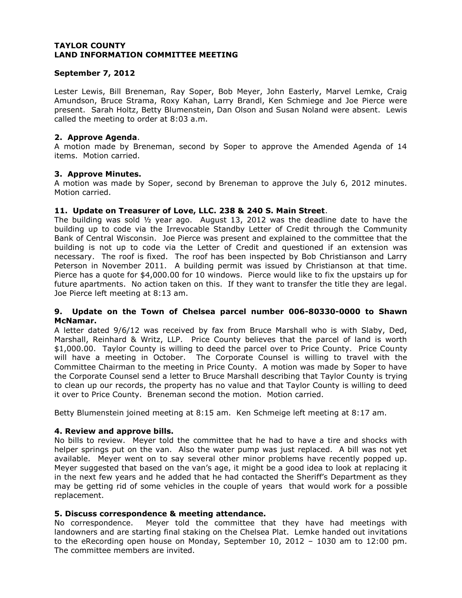## **September 7, 2012**

Lester Lewis, Bill Breneman, Ray Soper, Bob Meyer, John Easterly, Marvel Lemke, Craig Amundson, Bruce Strama, Roxy Kahan, Larry Brandl, Ken Schmiege and Joe Pierce were present. Sarah Holtz, Betty Blumenstein, Dan Olson and Susan Noland were absent. Lewis called the meeting to order at 8:03 a.m.

### **2. Approve Agenda**.

A motion made by Breneman, second by Soper to approve the Amended Agenda of 14 items. Motion carried.

### **3. Approve Minutes.**

A motion was made by Soper, second by Breneman to approve the July 6, 2012 minutes. Motion carried.

## **11. Update on Treasurer of Love, LLC. 238 & 240 S. Main Street**.

The building was sold ½ year ago. August 13, 2012 was the deadline date to have the building up to code via the Irrevocable Standby Letter of Credit through the Community Bank of Central Wisconsin. Joe Pierce was present and explained to the committee that the building is not up to code via the Letter of Credit and questioned if an extension was necessary. The roof is fixed. The roof has been inspected by Bob Christianson and Larry Peterson in November 2011. A building permit was issued by Christianson at that time. Pierce has a quote for \$4,000.00 for 10 windows. Pierce would like to fix the upstairs up for future apartments. No action taken on this. If they want to transfer the title they are legal. Joe Pierce left meeting at 8:13 am.

## **9. Update on the Town of Chelsea parcel number 006-80330-0000 to Shawn McNamar.**

A letter dated 9/6/12 was received by fax from Bruce Marshall who is with Slaby, Ded, Marshall, Reinhard & Writz, LLP. Price County believes that the parcel of land is worth \$1,000.00. Taylor County is willing to deed the parcel over to Price County. Price County will have a meeting in October. The Corporate Counsel is willing to travel with the Committee Chairman to the meeting in Price County. A motion was made by Soper to have the Corporate Counsel send a letter to Bruce Marshall describing that Taylor County is trying to clean up our records, the property has no value and that Taylor County is willing to deed it over to Price County. Breneman second the motion. Motion carried.

Betty Blumenstein joined meeting at 8:15 am. Ken Schmeige left meeting at 8:17 am.

## **4. Review and approve bills.**

No bills to review. Meyer told the committee that he had to have a tire and shocks with helper springs put on the van. Also the water pump was just replaced. A bill was not yet available. Meyer went on to say several other minor problems have recently popped up. Meyer suggested that based on the van's age, it might be a good idea to look at replacing it in the next few years and he added that he had contacted the Sheriff's Department as they may be getting rid of some vehicles in the couple of years that would work for a possible replacement.

#### **5. Discuss correspondence & meeting attendance.**

No correspondence. Meyer told the committee that they have had meetings with landowners and are starting final staking on the Chelsea Plat. Lemke handed out invitations to the eRecording open house on Monday, September 10, 2012 – 1030 am to 12:00 pm. The committee members are invited.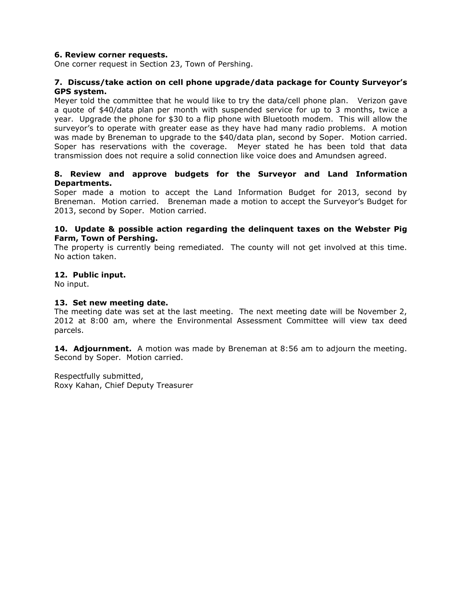## **6. Review corner requests.**

One corner request in Section 23, Town of Pershing.

### **7. Discuss/take action on cell phone upgrade/data package for County Surveyor's GPS system.**

Meyer told the committee that he would like to try the data/cell phone plan. Verizon gave a quote of \$40/data plan per month with suspended service for up to 3 months, twice a year. Upgrade the phone for \$30 to a flip phone with Bluetooth modem. This will allow the surveyor's to operate with greater ease as they have had many radio problems. A motion was made by Breneman to upgrade to the \$40/data plan, second by Soper. Motion carried. Soper has reservations with the coverage. Meyer stated he has been told that data transmission does not require a solid connection like voice does and Amundsen agreed.

## **8. Review and approve budgets for the Surveyor and Land Information Departments.**

Soper made a motion to accept the Land Information Budget for 2013, second by Breneman. Motion carried. Breneman made a motion to accept the Surveyor's Budget for 2013, second by Soper. Motion carried.

### **10. Update & possible action regarding the delinquent taxes on the Webster Pig Farm, Town of Pershing.**

The property is currently being remediated. The county will not get involved at this time. No action taken.

## **12. Public input.**

No input.

### **13. Set new meeting date.**

The meeting date was set at the last meeting. The next meeting date will be November 2, 2012 at 8:00 am, where the Environmental Assessment Committee will view tax deed parcels.

**14. Adjournment.** A motion was made by Breneman at 8:56 am to adjourn the meeting. Second by Soper. Motion carried.

Respectfully submitted, Roxy Kahan, Chief Deputy Treasurer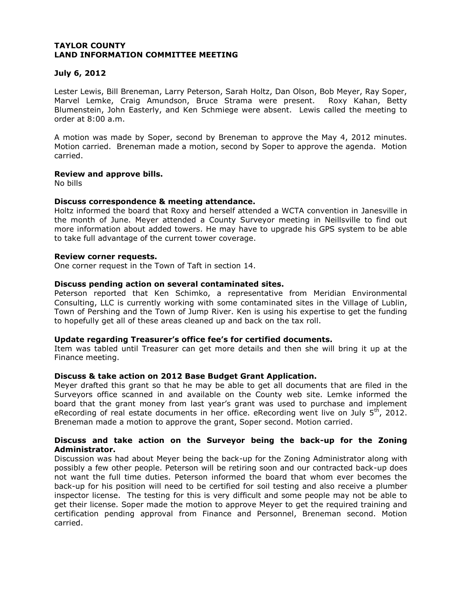## **July 6, 2012**

Lester Lewis, Bill Breneman, Larry Peterson, Sarah Holtz, Dan Olson, Bob Meyer, Ray Soper, Marvel Lemke, Craig Amundson, Bruce Strama were present. Roxy Kahan, Betty Blumenstein, John Easterly, and Ken Schmiege were absent. Lewis called the meeting to order at 8:00 a.m.

A motion was made by Soper, second by Breneman to approve the May 4, 2012 minutes. Motion carried. Breneman made a motion, second by Soper to approve the agenda. Motion carried.

## **Review and approve bills.**

No bills

### **Discuss correspondence & meeting attendance.**

Holtz informed the board that Roxy and herself attended a WCTA convention in Janesville in the month of June. Meyer attended a County Surveyor meeting in Neillsville to find out more information about added towers. He may have to upgrade his GPS system to be able to take full advantage of the current tower coverage.

### **Review corner requests.**

One corner request in the Town of Taft in section 14.

### **Discuss pending action on several contaminated sites.**

Peterson reported that Ken Schimko, a representative from Meridian Environmental Consulting, LLC is currently working with some contaminated sites in the Village of Lublin, Town of Pershing and the Town of Jump River. Ken is using his expertise to get the funding to hopefully get all of these areas cleaned up and back on the tax roll.

#### **Update regarding Treasurer's office fee's for certified documents.**

Item was tabled until Treasurer can get more details and then she will bring it up at the Finance meeting.

#### **Discuss & take action on 2012 Base Budget Grant Application.**

Meyer drafted this grant so that he may be able to get all documents that are filed in the Surveyors office scanned in and available on the County web site. Lemke informed the board that the grant money from last year's grant was used to purchase and implement eRecording of real estate documents in her office. eRecording went live on July  $5<sup>th</sup>$ , 2012. Breneman made a motion to approve the grant, Soper second. Motion carried.

### **Discuss and take action on the Surveyor being the back-up for the Zoning Administrator.**

Discussion was had about Meyer being the back-up for the Zoning Administrator along with possibly a few other people. Peterson will be retiring soon and our contracted back-up does not want the full time duties. Peterson informed the board that whom ever becomes the back-up for his position will need to be certified for soil testing and also receive a plumber inspector license. The testing for this is very difficult and some people may not be able to get their license. Soper made the motion to approve Meyer to get the required training and certification pending approval from Finance and Personnel, Breneman second. Motion carried.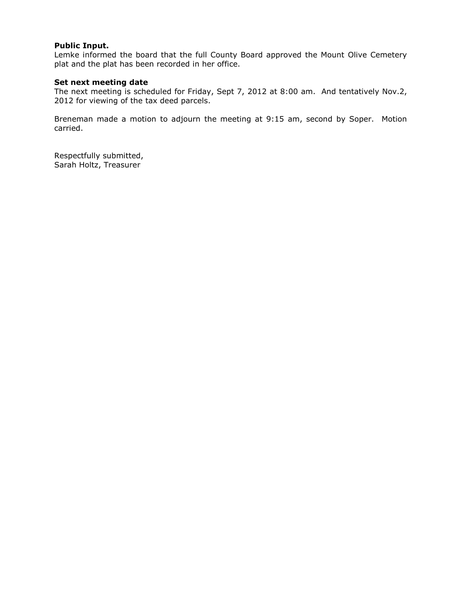## **Public Input.**

Lemke informed the board that the full County Board approved the Mount Olive Cemetery plat and the plat has been recorded in her office.

## **Set next meeting date**

The next meeting is scheduled for Friday, Sept 7, 2012 at 8:00 am. And tentatively Nov.2, 2012 for viewing of the tax deed parcels.

Breneman made a motion to adjourn the meeting at 9:15 am, second by Soper. Motion carried.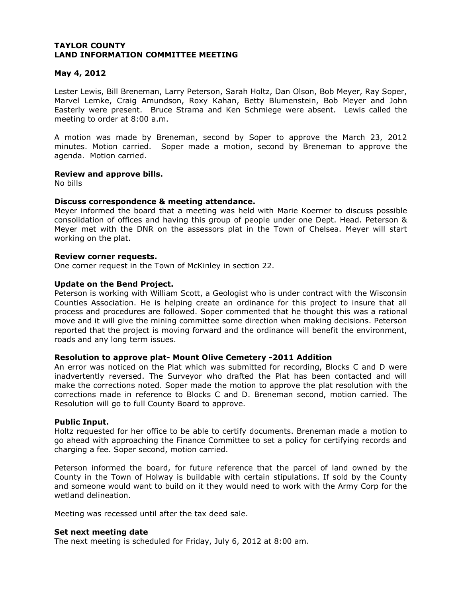### **May 4, 2012**

Lester Lewis, Bill Breneman, Larry Peterson, Sarah Holtz, Dan Olson, Bob Meyer, Ray Soper, Marvel Lemke, Craig Amundson, Roxy Kahan, Betty Blumenstein, Bob Meyer and John Easterly were present. Bruce Strama and Ken Schmiege were absent. Lewis called the meeting to order at 8:00 a.m.

A motion was made by Breneman, second by Soper to approve the March 23, 2012 minutes. Motion carried. Soper made a motion, second by Breneman to approve the agenda. Motion carried.

### **Review and approve bills.**

No bills

### **Discuss correspondence & meeting attendance.**

Meyer informed the board that a meeting was held with Marie Koerner to discuss possible consolidation of offices and having this group of people under one Dept. Head. Peterson & Meyer met with the DNR on the assessors plat in the Town of Chelsea. Meyer will start working on the plat.

#### **Review corner requests.**

One corner request in the Town of McKinley in section 22.

### **Update on the Bend Project.**

Peterson is working with William Scott, a Geologist who is under contract with the Wisconsin Counties Association. He is helping create an ordinance for this project to insure that all process and procedures are followed. Soper commented that he thought this was a rational move and it will give the mining committee some direction when making decisions. Peterson reported that the project is moving forward and the ordinance will benefit the environment, roads and any long term issues.

#### **Resolution to approve plat- Mount Olive Cemetery -2011 Addition**

An error was noticed on the Plat which was submitted for recording, Blocks C and D were inadvertently reversed. The Surveyor who drafted the Plat has been contacted and will make the corrections noted. Soper made the motion to approve the plat resolution with the corrections made in reference to Blocks C and D. Breneman second, motion carried. The Resolution will go to full County Board to approve.

#### **Public Input.**

Holtz requested for her office to be able to certify documents. Breneman made a motion to go ahead with approaching the Finance Committee to set a policy for certifying records and charging a fee. Soper second, motion carried.

Peterson informed the board, for future reference that the parcel of land owned by the County in the Town of Holway is buildable with certain stipulations. If sold by the County and someone would want to build on it they would need to work with the Army Corp for the wetland delineation.

Meeting was recessed until after the tax deed sale.

#### **Set next meeting date**

The next meeting is scheduled for Friday, July 6, 2012 at 8:00 am.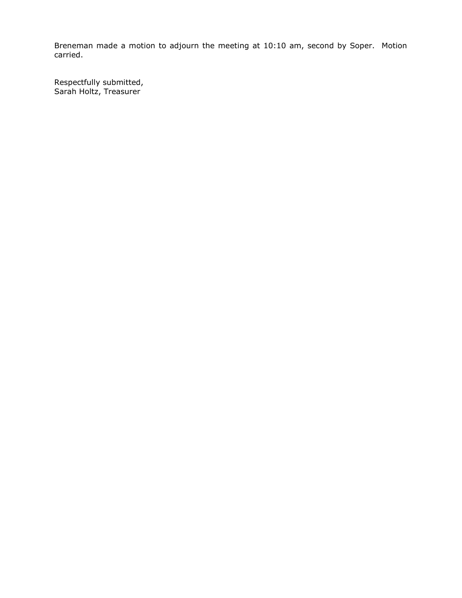Breneman made a motion to adjourn the meeting at 10:10 am, second by Soper. Motion carried.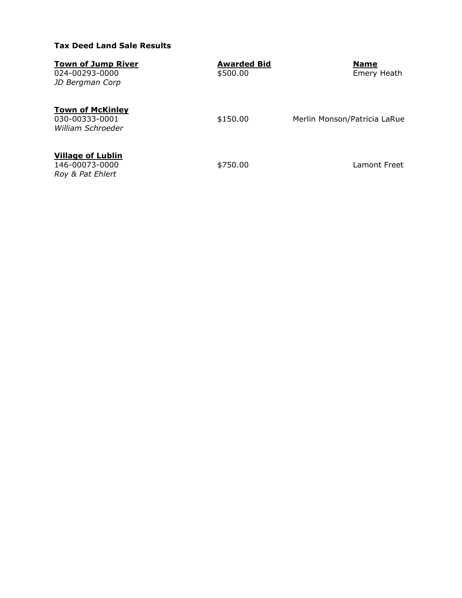# **Tax Deed Land Sale Results**

| <b>Town of Jump River</b><br>024-00293-0000<br>JD Bergman Corp | <b>Awarded Bid</b><br>\$500.00 | <b>Name</b><br>Emery Heath   |
|----------------------------------------------------------------|--------------------------------|------------------------------|
| <b>Town of McKinley</b><br>030-00333-0001<br>William Schroeder | \$150.00                       | Merlin Monson/Patricia LaRue |
| <b>Village of Lublin</b><br>146-00073-0000<br>Roy & Pat Ehlert | \$750.00                       | Lamont Freet                 |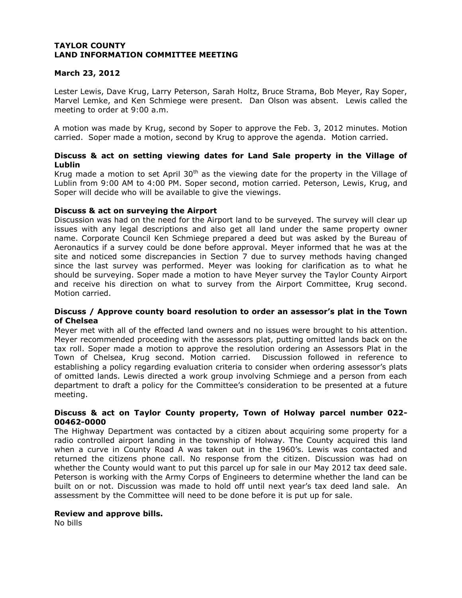## **March 23, 2012**

Lester Lewis, Dave Krug, Larry Peterson, Sarah Holtz, Bruce Strama, Bob Meyer, Ray Soper, Marvel Lemke, and Ken Schmiege were present. Dan Olson was absent. Lewis called the meeting to order at 9:00 a.m.

A motion was made by Krug, second by Soper to approve the Feb. 3, 2012 minutes. Motion carried. Soper made a motion, second by Krug to approve the agenda. Motion carried.

## **Discuss & act on setting viewing dates for Land Sale property in the Village of Lublin**

Krug made a motion to set April  $30<sup>th</sup>$  as the viewing date for the property in the Village of Lublin from 9:00 AM to 4:00 PM. Soper second, motion carried. Peterson, Lewis, Krug, and Soper will decide who will be available to give the viewings.

## **Discuss & act on surveying the Airport**

Discussion was had on the need for the Airport land to be surveyed. The survey will clear up issues with any legal descriptions and also get all land under the same property owner name. Corporate Council Ken Schmiege prepared a deed but was asked by the Bureau of Aeronautics if a survey could be done before approval. Meyer informed that he was at the site and noticed some discrepancies in Section 7 due to survey methods having changed since the last survey was performed. Meyer was looking for clarification as to what he should be surveying. Soper made a motion to have Meyer survey the Taylor County Airport and receive his direction on what to survey from the Airport Committee, Krug second. Motion carried.

### **Discuss / Approve county board resolution to order an assessor's plat in the Town of Chelsea**

Meyer met with all of the effected land owners and no issues were brought to his attention. Meyer recommended proceeding with the assessors plat, putting omitted lands back on the tax roll. Soper made a motion to approve the resolution ordering an Assessors Plat in the Town of Chelsea, Krug second. Motion carried. Discussion followed in reference to establishing a policy regarding evaluation criteria to consider when ordering assessor's plats of omitted lands. Lewis directed a work group involving Schmiege and a person from each department to draft a policy for the Committee's consideration to be presented at a future meeting.

## **Discuss & act on Taylor County property, Town of Holway parcel number 022- 00462-0000**

The Highway Department was contacted by a citizen about acquiring some property for a radio controlled airport landing in the township of Holway. The County acquired this land when a curve in County Road A was taken out in the 1960's. Lewis was contacted and returned the citizens phone call. No response from the citizen. Discussion was had on whether the County would want to put this parcel up for sale in our May 2012 tax deed sale. Peterson is working with the Army Corps of Engineers to determine whether the land can be built on or not. Discussion was made to hold off until next year's tax deed land sale. An assessment by the Committee will need to be done before it is put up for sale.

#### **Review and approve bills.**

No bills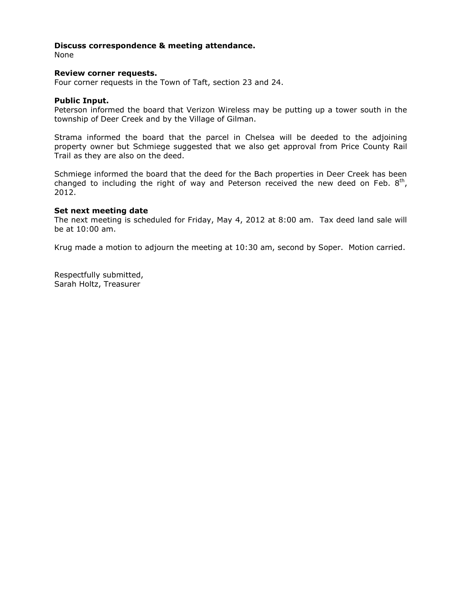### **Discuss correspondence & meeting attendance.**

None

#### **Review corner requests.**

Four corner requests in the Town of Taft, section 23 and 24.

#### **Public Input.**

Peterson informed the board that Verizon Wireless may be putting up a tower south in the township of Deer Creek and by the Village of Gilman.

Strama informed the board that the parcel in Chelsea will be deeded to the adjoining property owner but Schmiege suggested that we also get approval from Price County Rail Trail as they are also on the deed.

Schmiege informed the board that the deed for the Bach properties in Deer Creek has been changed to including the right of way and Peterson received the new deed on Feb.  $8<sup>th</sup>$ , 2012.

#### **Set next meeting date**

The next meeting is scheduled for Friday, May 4, 2012 at 8:00 am. Tax deed land sale will be at 10:00 am.

Krug made a motion to adjourn the meeting at 10:30 am, second by Soper. Motion carried.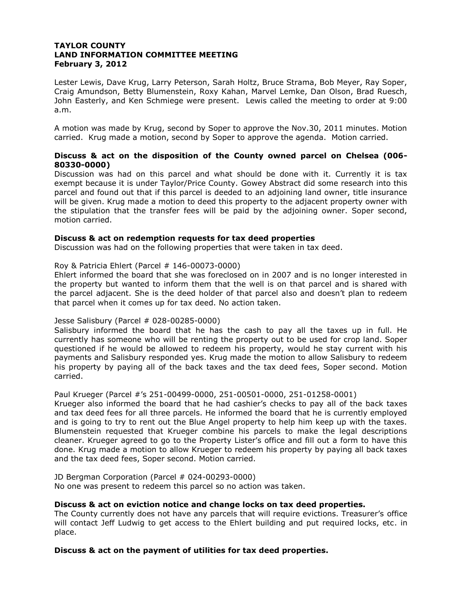## **TAYLOR COUNTY LAND INFORMATION COMMITTEE MEETING February 3, 2012**

Lester Lewis, Dave Krug, Larry Peterson, Sarah Holtz, Bruce Strama, Bob Meyer, Ray Soper, Craig Amundson, Betty Blumenstein, Roxy Kahan, Marvel Lemke, Dan Olson, Brad Ruesch, John Easterly, and Ken Schmiege were present. Lewis called the meeting to order at 9:00 a.m.

A motion was made by Krug, second by Soper to approve the Nov.30, 2011 minutes. Motion carried. Krug made a motion, second by Soper to approve the agenda. Motion carried.

## **Discuss & act on the disposition of the County owned parcel on Chelsea (006- 80330-0000)**

Discussion was had on this parcel and what should be done with it. Currently it is tax exempt because it is under Taylor/Price County. Gowey Abstract did some research into this parcel and found out that if this parcel is deeded to an adjoining land owner, title insurance will be given. Krug made a motion to deed this property to the adjacent property owner with the stipulation that the transfer fees will be paid by the adjoining owner. Soper second, motion carried.

### **Discuss & act on redemption requests for tax deed properties**

Discussion was had on the following properties that were taken in tax deed.

## Roy & Patricia Ehlert (Parcel # 146-00073-0000)

Ehlert informed the board that she was foreclosed on in 2007 and is no longer interested in the property but wanted to inform them that the well is on that parcel and is shared with the parcel adjacent. She is the deed holder of that parcel also and doesn't plan to redeem that parcel when it comes up for tax deed. No action taken.

#### Jesse Salisbury (Parcel # 028-00285-0000)

Salisbury informed the board that he has the cash to pay all the taxes up in full. He currently has someone who will be renting the property out to be used for crop land. Soper questioned if he would be allowed to redeem his property, would he stay current with his payments and Salisbury responded yes. Krug made the motion to allow Salisbury to redeem his property by paying all of the back taxes and the tax deed fees, Soper second. Motion carried.

### Paul Krueger (Parcel #'s 251-00499-0000, 251-00501-0000, 251-01258-0001)

Krueger also informed the board that he had cashier's checks to pay all of the back taxes and tax deed fees for all three parcels. He informed the board that he is currently employed and is going to try to rent out the Blue Angel property to help him keep up with the taxes. Blumenstein requested that Krueger combine his parcels to make the legal descriptions cleaner. Krueger agreed to go to the Property Lister's office and fill out a form to have this done. Krug made a motion to allow Krueger to redeem his property by paying all back taxes and the tax deed fees, Soper second. Motion carried.

JD Bergman Corporation (Parcel # 024-00293-0000) No one was present to redeem this parcel so no action was taken.

## **Discuss & act on eviction notice and change locks on tax deed properties.**

The County currently does not have any parcels that will require evictions. Treasurer's office will contact Jeff Ludwig to get access to the Ehlert building and put required locks, etc. in place.

## **Discuss & act on the payment of utilities for tax deed properties.**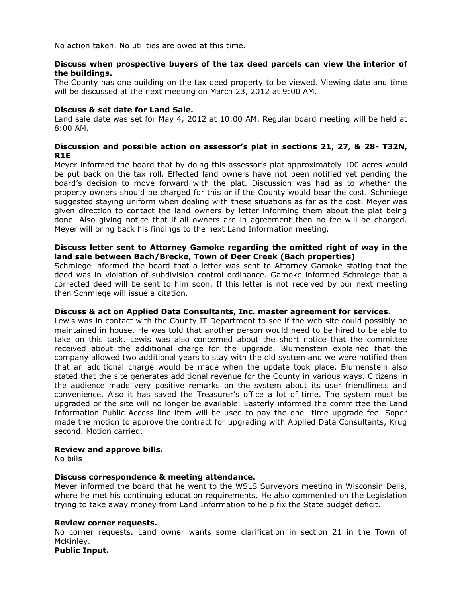No action taken. No utilities are owed at this time.

### **Discuss when prospective buyers of the tax deed parcels can view the interior of the buildings.**

The County has one building on the tax deed property to be viewed. Viewing date and time will be discussed at the next meeting on March 23, 2012 at 9:00 AM.

### **Discuss & set date for Land Sale.**

Land sale date was set for May 4, 2012 at 10:00 AM. Regular board meeting will be held at 8:00 AM.

## **Discussion and possible action on assessor's plat in sections 21, 27, & 28- T32N, R1E**

Meyer informed the board that by doing this assessor's plat approximately 100 acres would be put back on the tax roll. Effected land owners have not been notified yet pending the board's decision to move forward with the plat. Discussion was had as to whether the property owners should be charged for this or if the County would bear the cost. Schmiege suggested staying uniform when dealing with these situations as far as the cost. Meyer was given direction to contact the land owners by letter informing them about the plat being done. Also giving notice that if all owners are in agreement then no fee will be charged. Meyer will bring back his findings to the next Land Information meeting.

### **Discuss letter sent to Attorney Gamoke regarding the omitted right of way in the land sale between Bach/Brecke, Town of Deer Creek (Bach properties)**

Schmiege informed the board that a letter was sent to Attorney Gamoke stating that the deed was in violation of subdivision control ordinance. Gamoke informed Schmiege that a corrected deed will be sent to him soon. If this letter is not received by our next meeting then Schmiege will issue a citation.

## **Discuss & act on Applied Data Consultants, Inc. master agreement for services.**

Lewis was in contact with the County IT Department to see if the web site could possibly be maintained in house. He was told that another person would need to be hired to be able to take on this task. Lewis was also concerned about the short notice that the committee received about the additional charge for the upgrade. Blumenstein explained that the company allowed two additional years to stay with the old system and we were notified then that an additional charge would be made when the update took place. Blumenstein also stated that the site generates additional revenue for the County in various ways. Citizens in the audience made very positive remarks on the system about its user friendliness and convenience. Also it has saved the Treasurer's office a lot of time. The system must be upgraded or the site will no longer be available. Easterly informed the committee the Land Information Public Access line item will be used to pay the one- time upgrade fee. Soper made the motion to approve the contract for upgrading with Applied Data Consultants, Krug second. Motion carried.

#### **Review and approve bills.**

No bills

## **Discuss correspondence & meeting attendance.**

Meyer informed the board that he went to the WSLS Surveyors meeting in Wisconsin Dells, where he met his continuing education requirements. He also commented on the Legislation trying to take away money from Land Information to help fix the State budget deficit.

#### **Review corner requests.**

No corner requests. Land owner wants some clarification in section 21 in the Town of McKinley.

**Public Input.**